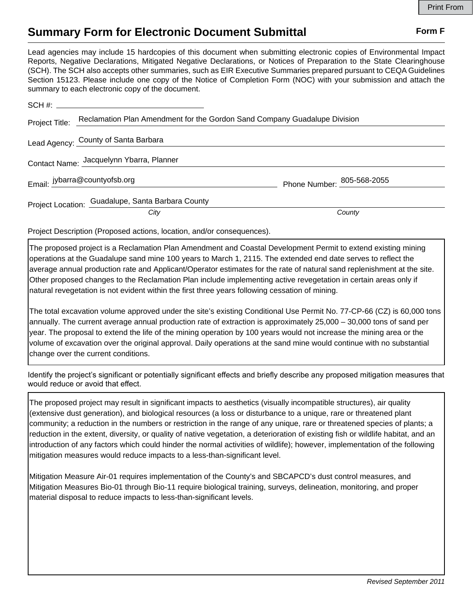## **Summary Form for Electronic Document Submittal Form F Form F**

Lead agencies may include 15 hardcopies of this document when submitting electronic copies of Environmental Impact Reports, Negative Declarations, Mitigated Negative Declarations, or Notices of Preparation to the State Clearinghouse (SCH). The SCH also accepts other summaries, such as EIR Executive Summaries prepared pursuant to CEQA Guidelines Section 15123. Please include one copy of the Notice of Completion Form (NOC) with your submission and attach the summary to each electronic copy of the document.

| Project Title: Reclamation Plan Amendment for the Gordon Sand Company Guadalupe Division |                                     |
|------------------------------------------------------------------------------------------|-------------------------------------|
| Lead Agency: County of Santa Barbara                                                     |                                     |
| Contact Name: Jacquelynn Ybarra, Planner                                                 |                                     |
| Email: jybarra@countyofsb.org                                                            | Phone Number: $^{805-568-2055}_{ }$ |
| Project Location: Guadalupe, Santa Barbara County                                        |                                     |
| City                                                                                     | County                              |

Project Description (Proposed actions, location, and/or consequences).

The proposed project is a Reclamation Plan Amendment and Coastal Development Permit to extend existing mining operations at the Guadalupe sand mine 100 years to March 1, 2115. The extended end date serves to reflect the average annual production rate and Applicant/Operator estimates for the rate of natural sand replenishment at the site. Other proposed changes to the Reclamation Plan include implementing active revegetation in certain areas only if natural revegetation is not evident within the first three years following cessation of mining.

The total excavation volume approved under the site's existing Conditional Use Permit No. 77-CP-66 (CZ) is 60,000 tons annually. The current average annual production rate of extraction is approximately 25,000 – 30,000 tons of sand per year. The proposal to extend the life of the mining operation by 100 years would not increase the mining area or the volume of excavation over the original approval. Daily operations at the sand mine would continue with no substantial change over the current conditions.

Identify the project's significant or potentially significant effects and briefly describe any proposed mitigation measures that would reduce or avoid that effect.

The proposed project may result in significant impacts to aesthetics (visually incompatible structures), air quality (extensive dust generation), and biological resources (a loss or disturbance to a unique, rare or threatened plant community; a reduction in the numbers or restriction in the range of any unique, rare or threatened species of plants; a reduction in the extent, diversity, or quality of native vegetation, a deterioration of existing fish or wildlife habitat, and an introduction of any factors which could hinder the normal activities of wildlife); however, implementation of the following mitigation measures would reduce impacts to a less-than-significant level.

Mitigation Measure Air-01 requires implementation of the County's and SBCAPCD's dust control measures, and Mitigation Measures Bio-01 through Bio-11 require biological training, surveys, delineation, monitoring, and proper material disposal to reduce impacts to less-than-significant levels.